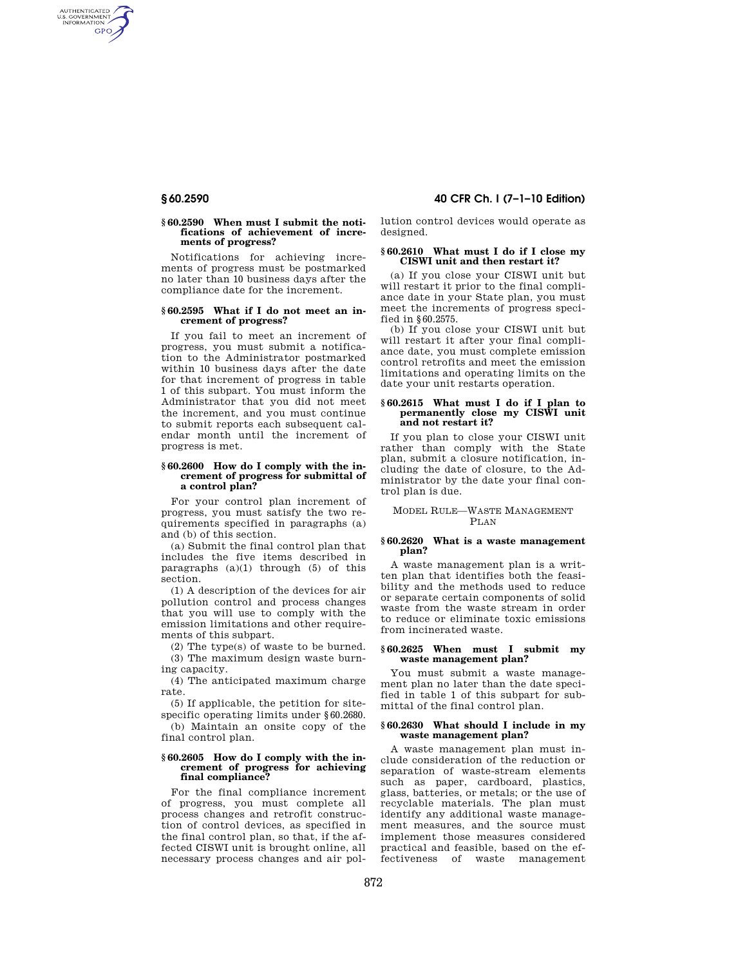AUTHENTICATED<br>U.S. GOVERNMENT<br>INFORMATION **GPO** 

### **§ 60.2590 When must I submit the notifications of achievement of increments of progress?**

Notifications for achieving increments of progress must be postmarked no later than 10 business days after the compliance date for the increment.

# **§ 60.2595 What if I do not meet an increment of progress?**

If you fail to meet an increment of progress, you must submit a notification to the Administrator postmarked within 10 business days after the date for that increment of progress in table 1 of this subpart. You must inform the Administrator that you did not meet the increment, and you must continue to submit reports each subsequent calendar month until the increment of progress is met.

#### **§ 60.2600 How do I comply with the increment of progress for submittal of a control plan?**

For your control plan increment of progress, you must satisfy the two requirements specified in paragraphs (a) and (b) of this section.

(a) Submit the final control plan that includes the five items described in paragraphs  $(a)(1)$  through  $(5)$  of this section.

(1) A description of the devices for air pollution control and process changes that you will use to comply with the emission limitations and other requirements of this subpart.

(2) The type(s) of waste to be burned.

(3) The maximum design waste burning capacity.

(4) The anticipated maximum charge rate.

(5) If applicable, the petition for sitespecific operating limits under §60.2680.

(b) Maintain an onsite copy of the final control plan.

#### **§ 60.2605 How do I comply with the increment of progress for achieving final compliance?**

For the final compliance increment of progress, you must complete all process changes and retrofit construction of control devices, as specified in the final control plan, so that, if the affected CISWI unit is brought online, all necessary process changes and air pol-

**§ 60.2590 40 CFR Ch. I (7–1–10 Edition)** 

lution control devices would operate as designed.

## **§ 60.2610 What must I do if I close my CISWI unit and then restart it?**

(a) If you close your CISWI unit but will restart it prior to the final compliance date in your State plan, you must meet the increments of progress specified in §60.2575.

(b) If you close your CISWI unit but will restart it after your final compliance date, you must complete emission control retrofits and meet the emission limitations and operating limits on the date your unit restarts operation.

#### **§ 60.2615 What must I do if I plan to permanently close my CISWI unit and not restart it?**

If you plan to close your CISWI unit rather than comply with the State plan, submit a closure notification, including the date of closure, to the Administrator by the date your final control plan is due.

## MODEL RULE—WASTE MANAGEMENT **PLAN**

#### **§ 60.2620 What is a waste management plan?**

A waste management plan is a written plan that identifies both the feasibility and the methods used to reduce or separate certain components of solid waste from the waste stream in order to reduce or eliminate toxic emissions from incinerated waste.

## **§ 60.2625 When must I submit my waste management plan?**

You must submit a waste management plan no later than the date specified in table 1 of this subpart for submittal of the final control plan.

#### **§ 60.2630 What should I include in my waste management plan?**

A waste management plan must include consideration of the reduction or separation of waste-stream elements such as paper, cardboard, plastics, glass, batteries, or metals; or the use of recyclable materials. The plan must identify any additional waste management measures, and the source must implement those measures considered practical and feasible, based on the effectiveness of waste management